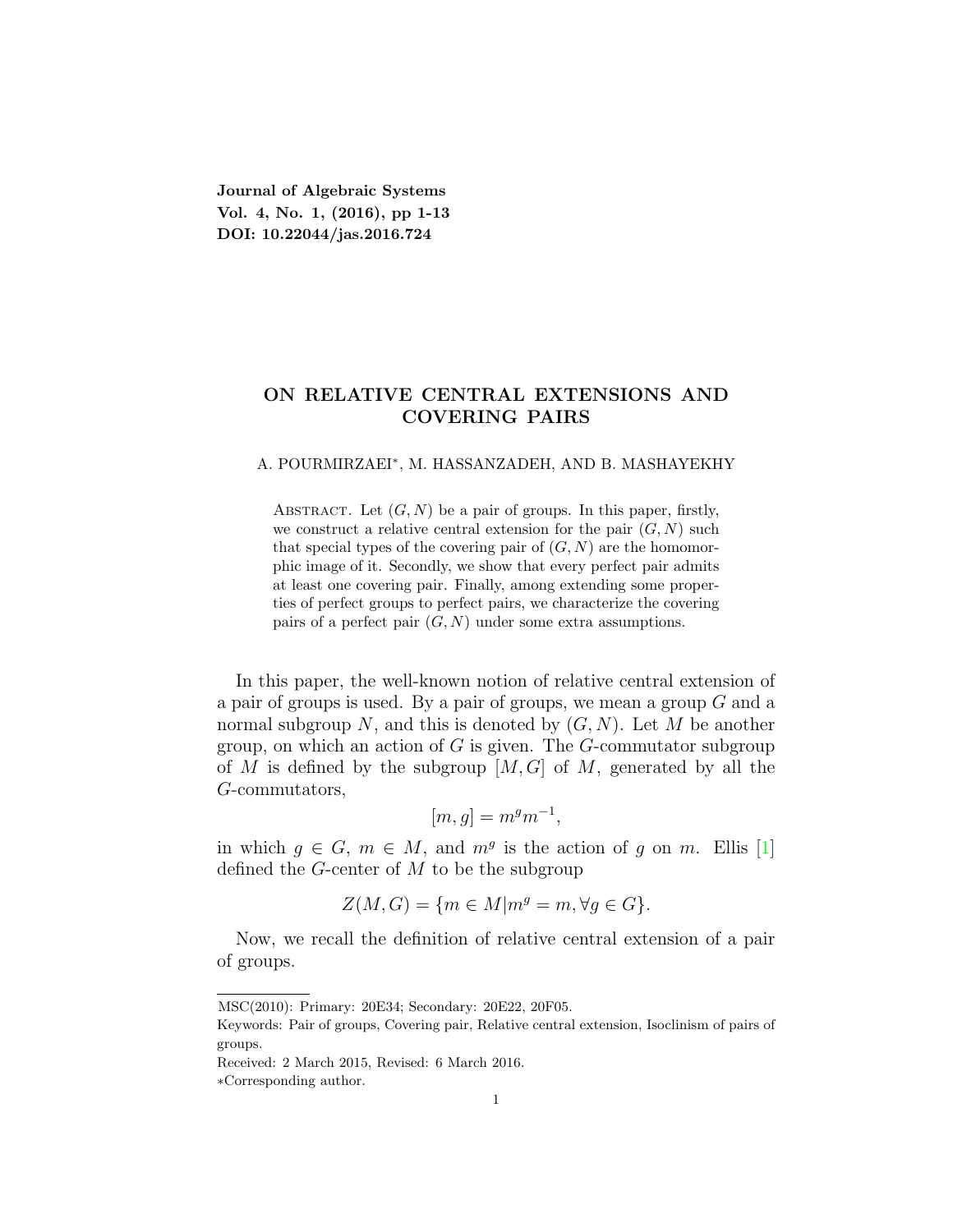**Journal of Algebraic Systems Vol. 4, No. 1, (2016), pp 1-13 DOI: 10.22044/jas.2016.724**

# **ON RELATIVE CENTRAL EXTENSIONS AND COVERING PAIRS**

#### A. POURMIRZAEI*<sup>∗</sup>* , M. HASSANZADEH, AND B. MASHAYEKHY

ABSTRACT. Let  $(G, N)$  be a pair of groups. In this paper, firstly, we construct a relative central extension for the pair  $(G, N)$  such that special types of the covering pair of  $(G, N)$  are the homomorphic image of it. Secondly, we show that every perfect pair admits at least one covering pair. Finally, among extending some properties of perfect groups to perfect pairs, we characterize the covering pairs of a perfect pair  $(G, N)$  under some extra assumptions.

In this paper, the well-known notion of relative central extension of a pair of groups is used. By a pair of groups, we mean a group *G* and a normal subgroup *N*, and this is denoted by (*G, N*). Let *M* be another group, on which an action of *G* is given. The *G*-commutator subgroup of *M* is defined by the subgroup [*M, G*] of *M*, generated by all the *G*-commutators,

$$
[m, g] = m^g m^{-1},
$$

in which  $g \in G$ ,  $m \in M$ , and  $m<sup>g</sup>$  is the action of *g* on *m*. Ellis [\[1\]](#page-12-0) defined the *G*-center of *M* to be the subgroup

$$
Z(M, G) = \{ m \in M | m^g = m, \forall g \in G \}.
$$

Now, we recall the definition of relative central extension of a pair of groups.

MSC(2010): Primary: 20E34; Secondary: 20E22, 20F05.

Keywords: Pair of groups, Covering pair, Relative central extension, Isoclinism of pairs of groups.

Received: 2 March 2015, Revised: 6 March 2016.

*<sup>∗</sup>*Corresponding author.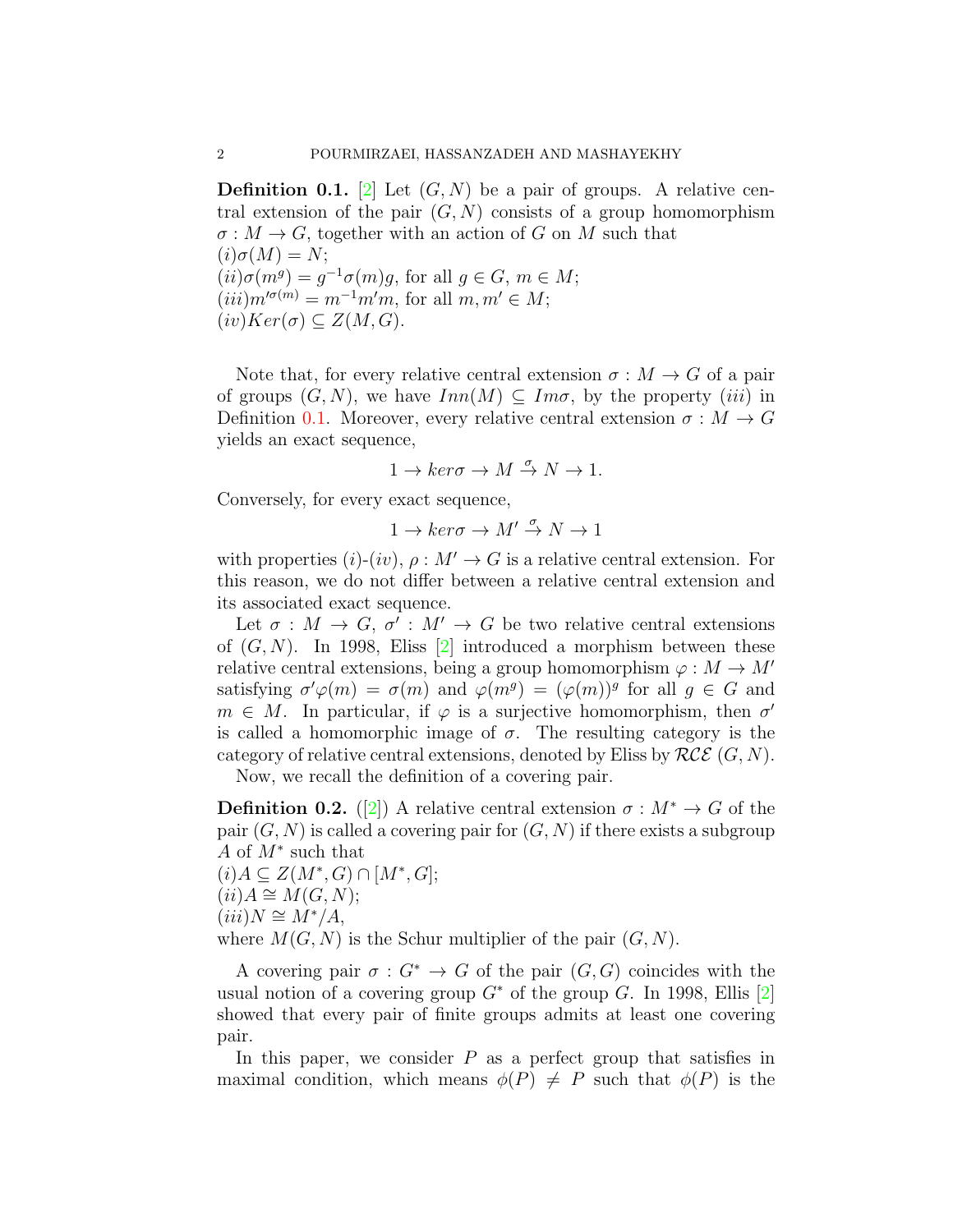<span id="page-1-0"></span>**Definition 0.1.** [\[2\]](#page-12-1) Let  $(G, N)$  be a pair of groups. A relative central extension of the pair  $(G, N)$  consists of a group homomorphism  $\sigma: M \to G$ , together with an action of *G* on *M* such that  $(i)\sigma(M) = N;$  $(i)$ *σ*(*m*<sup>*g*</sup>) = *g*<sup>-1</sup>*σ*(*m*)*g*, for all *g*  $\in$  *G*, *m*  $\in$  *M*;  $(iii)$  $m^{\prime\sigma(m)} = m^{-1}m^{\prime}m$ , for all  $m, m^{\prime} \in M$ ;  $(iv)Ker(\sigma) \subseteq Z(M, G).$ 

Note that, for every relative central extension  $\sigma : M \to G$  of a pair of groups  $(G, N)$ , we have  $Inn(M) \subseteq Im \sigma$ , by the property *(iii)* in Definition [0.1](#page-1-0). Moreover, every relative central extension  $\sigma : M \to G$ yields an exact sequence,

$$
1 \to \ker\sigma \to M \stackrel{\sigma}{\to} N \to 1.
$$

Conversely, for every exact sequence,

$$
1 \to \ker\sigma \to M' \stackrel{\sigma}{\to} N \to 1
$$

with properties  $(i)-(iv)$ ,  $\rho: M' \to G$  is a relative central extension. For this reason, we do not differ between a relative central extension and its associated exact sequence.

Let  $\sigma : M \to G$ ,  $\sigma' : M' \to G$  be two relative central extensions of  $(G, N)$ . In 1998, Eliss  $[2]$  $[2]$  introduced a morphism between these relative central extensions, being a group homomorphism  $\varphi : M \to M'$ satisfying  $\sigma' \varphi(m) = \sigma(m)$  and  $\varphi(m^g) = (\varphi(m))^g$  for all  $g \in G$  and  $m \in M$ . In particular, if  $\varphi$  is a surjective homomorphism, then  $\sigma'$ is called a homomorphic image of  $\sigma$ . The resulting category is the category of relative central extensions, denoted by Eliss by *RCE* (*G, N*).

Now, we recall the definition of a covering pair.

**Definition 0.2.** ([\[2](#page-12-1)]) A relative central extension  $\sigma : M^* \to G$  of the pair  $(G, N)$  is called a covering pair for  $(G, N)$  if there exists a subgroup *A* of *M<sup>∗</sup>* such that

$$
(i) A \subseteq Z(M^*, G) \cap [M^*, G];
$$
  
\n
$$
(ii) A \cong M(G, N);
$$
  
\n
$$
(iii) N \cong M^*/A,
$$
  
\nwhere  $M(G, N)$  is the Schur multiplier of the pair  $(G, N)$ .

A covering pair  $\sigma : G^* \to G$  of the pair  $(G, G)$  coincides with the usual notion of a covering group  $G^*$  of the group *G*. In 1998, Ellis [\[2\]](#page-12-1) showed that every pair of finite groups admits at least one covering pair.

In this paper, we consider  $P$  as a perfect group that satisfies in maximal condition, which means  $\phi(P) \neq P$  such that  $\phi(P)$  is the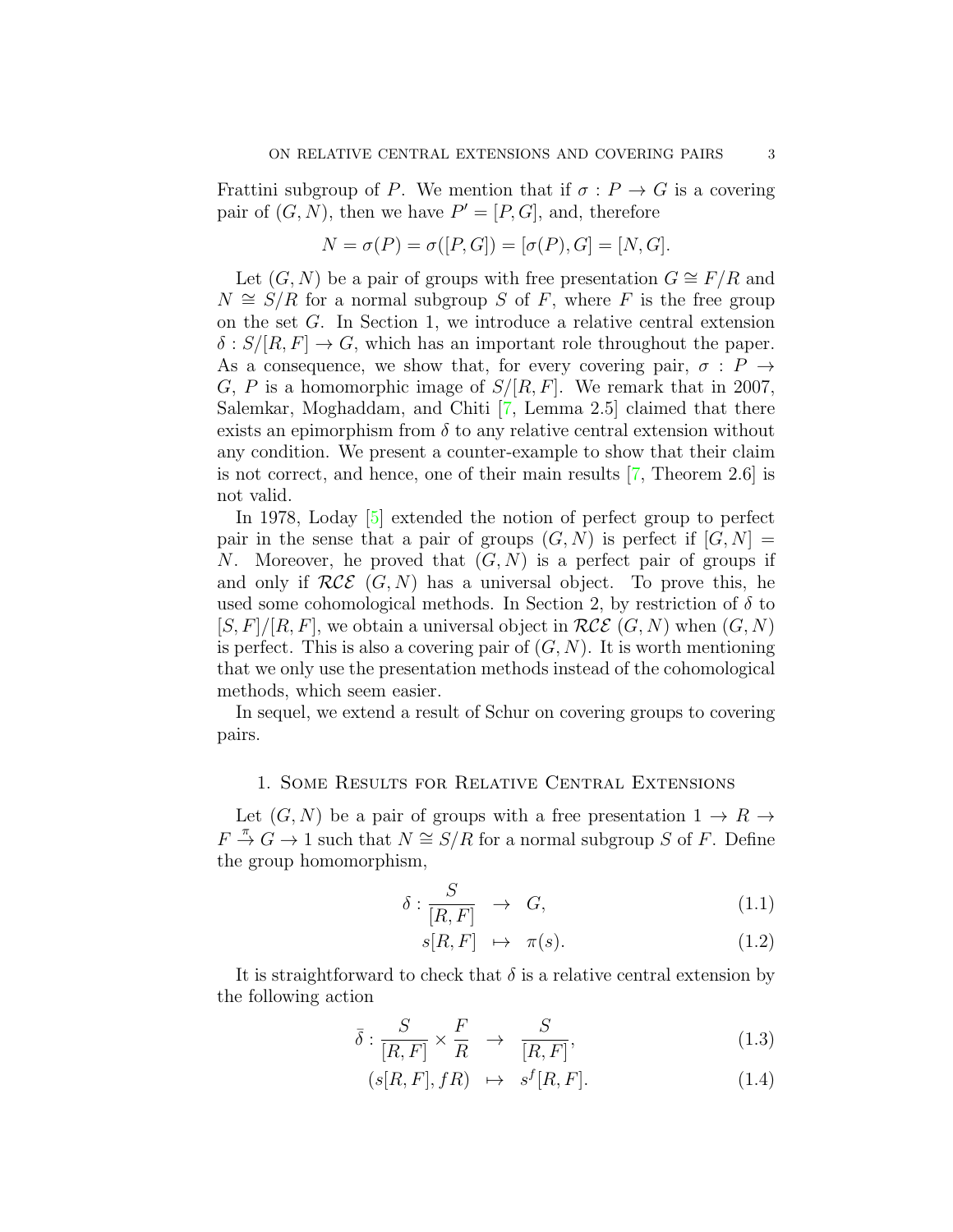Frattini subgroup of *P*. We mention that if  $\sigma : P \to G$  is a covering pair of  $(G, N)$ , then we have  $P' = [P, G]$ , and, therefore

$$
N = \sigma(P) = \sigma([P, G]) = [\sigma(P), G] = [N, G].
$$

Let  $(G, N)$  be a pair of groups with free presentation  $G \cong F/R$  and  $N \cong S/R$  for a normal subgroup *S* of *F*, where *F* is the free group on the set *G*. In Section 1, we introduce a relative central extension  $\delta$  :  $S/[R, F] \rightarrow G$ , which has an important role throughout the paper. As a consequence, we show that, for every covering pair,  $\sigma : P \rightarrow$ *G*, *P* is a homomorphic image of *S/*[*R, F*]. We remark that in 2007, Salemkar, Moghaddam, and Chiti [[7,](#page-12-2) Lemma 2.5] claimed that there exists an epimorphism from  $\delta$  to any relative central extension without any condition. We present a counter-example to show that their claim is not correct, and hence, one of their main results [[7,](#page-12-2) Theorem 2.6] is not valid.

In 1978, Loday [[5\]](#page-12-3) extended the notion of perfect group to perfect pair in the sense that a pair of groups  $(G, N)$  is perfect if  $[G, N] =$ *N*. Moreover, he proved that (*G, N*) is a perfect pair of groups if and only if  $RCE(G, N)$  has a universal object. To prove this, he used some cohomological methods. In Section 2, by restriction of  $\delta$  to  $[S, F]/[R, F]$ , we obtain a universal object in  $RCE(G, N)$  when  $(G, N)$ is perfect. This is also a covering pair of  $(G, N)$ . It is worth mentioning that we only use the presentation methods instead of the cohomological methods, which seem easier.

In sequel, we extend a result of Schur on covering groups to covering pairs.

### 1. Some Results for Relative Central Extensions

Let  $(G, N)$  be a pair of groups with a free presentation  $1 \rightarrow R \rightarrow$  $F \stackrel{\pi}{\rightarrow} G \rightarrow 1$  such that  $N \cong S/R$  for a normal subgroup *S* of *F*. Define the group homomorphism,

<span id="page-2-0"></span>
$$
\delta: \frac{S}{[R, F]} \to G,\tag{1.1}
$$

$$
s[R, F] \mapsto \pi(s). \tag{1.2}
$$

It is straightforward to check that  $\delta$  is a relative central extension by the following action

$$
\bar{\delta} : \frac{S}{[R, F]} \times \frac{F}{R} \rightarrow \frac{S}{[R, F]}, \qquad (1.3)
$$

$$
(s[R, F], fR) \mapsto s^f[R, F]. \tag{1.4}
$$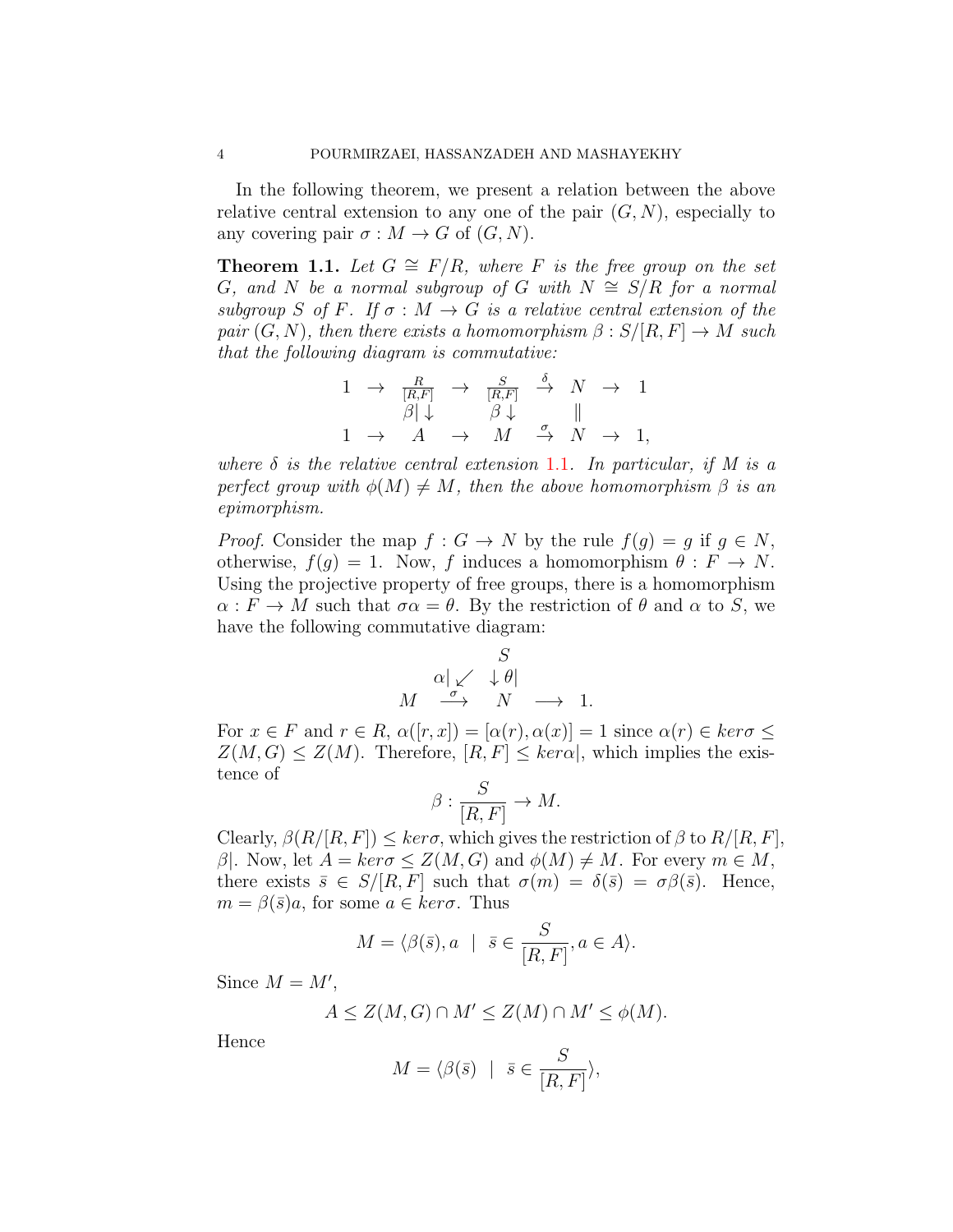In the following theorem, we present a relation between the above relative central extension to any one of the pair  $(G, N)$ , especially to any covering pair  $\sigma : M \to G$  of  $(G, N)$ .

<span id="page-3-0"></span>**Theorem 1.1.** Let  $G \cong F/R$ , where  $F$  is the free group on the set *G, and N be a normal subgroup of G with*  $N \cong S/R$  *for a normal subgroup S of F.* If  $\sigma : M \to G$  *is a relative central extension of the pair*  $(G, N)$ *, then there exists a homomorphism*  $\beta : S/[R, F] \to M$  *such that the following diagram is commutative:*

$$
\begin{array}{ccccccc}\n1 & \rightarrow & \frac{R}{[R,F]} & \rightarrow & \frac{S}{[R,F]} & \stackrel{\delta}{\rightarrow} & N & \rightarrow & 1 \\
\beta|\downarrow & & \beta|\downarrow & & & \parallel \\
1 & \rightarrow & A & \rightarrow & M & \stackrel{\sigma}{\rightarrow} & N & \rightarrow & 1,\n\end{array}
$$

*where δ is the relative central extension* 1*.*[1](#page-2-0)*. In particular, if M is a perfect group with*  $\phi(M) \neq M$ *, then the above homomorphism*  $\beta$  *is an epimorphism.*

*Proof.* Consider the map  $f: G \to N$  by the rule  $f(q) = q$  if  $q \in N$ , otherwise,  $f(g) = 1$ . Now, *f* induces a homomorphism  $\theta : F \to N$ . Using the projective property of free groups, there is a homomorphism  $\alpha: F \to M$  such that  $\sigma \alpha = \theta$ . By the restriction of  $\theta$  and  $\alpha$  to *S*, we have the following commutative diagram:

$$
\begin{array}{rcl}\n & & S \\
\alpha & \swarrow & \downarrow \theta \\
M & \xrightarrow{\sigma} & N & \longrightarrow & 1.\n\end{array}
$$

For  $x \in F$  and  $r \in R$ ,  $\alpha([r, x]) = [\alpha(r), \alpha(x)] = 1$  since  $\alpha(r) \in \text{ker}\sigma \leq$  $Z(M, G) \leq Z(M)$ . Therefore,  $[R, F] \leq \text{ker } \alpha$ , which implies the existence of

$$
\beta : \frac{S}{[R, F]} \to M.
$$

Clearly,  $\beta(R/[R, F]) \leq \text{ker}\sigma$ , which gives the restriction of  $\beta$  to  $R/[R, F]$ , *β*<sup> $|$ </sup>. Now, let  $A = \text{ker}\sigma \leq Z(M, G)$  and  $\phi(M) \neq M$ . For every  $m \in M$ , there exists  $\bar{s} \in S/[R, F]$  such that  $\sigma(m) = \delta(\bar{s}) = \sigma\beta(\bar{s})$ . Hence,  $m = \beta(\bar{s})a$ , for some  $a \in \text{ker}\sigma$ . Thus

$$
M = \langle \beta(\bar{s}), a \mid \bar{s} \in \frac{S}{[R, F]}, a \in A \rangle.
$$

Since  $M = M'$ ,

$$
A \le Z(M, G) \cap M' \le Z(M) \cap M' \le \phi(M).
$$

Hence

$$
M = \langle \beta(\bar{s}) \mid \bar{s} \in \frac{S}{[R, F]} \rangle,
$$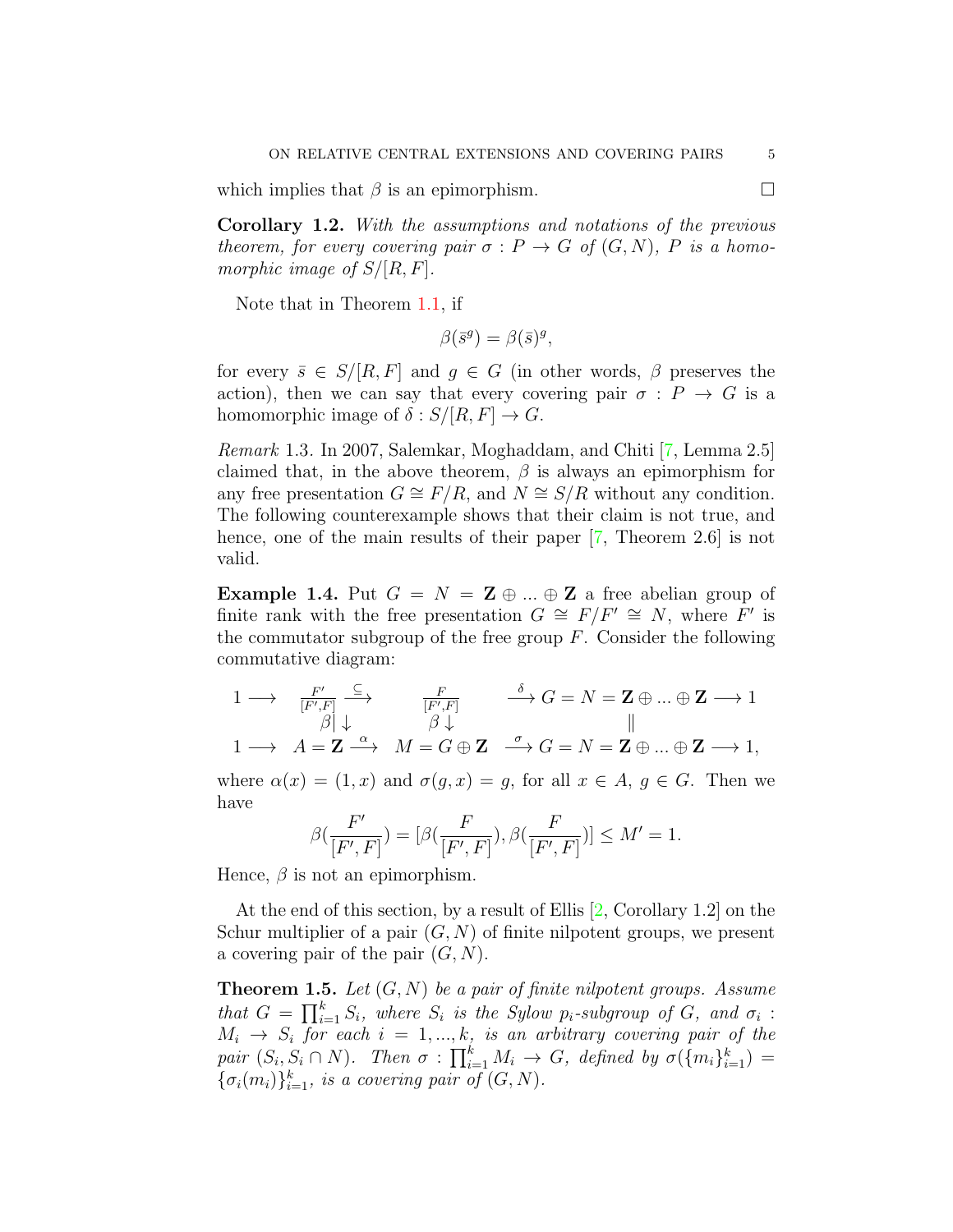which implies that  $\beta$  is an epimorphism.  $\Box$ 

**Corollary 1.2.** *With the assumptions and notations of the previous theorem, for every covering pair*  $\sigma$ :  $P \rightarrow G$  *of*  $(G, N)$ *, P is a homomorphic image of S/*[*R, F*]*.*

Note that in Theorem [1.1](#page-3-0), if

$$
\beta(\bar{s}^g) = \beta(\bar{s})^g,
$$

for every  $\bar{s} \in S/[R, F]$  and  $g \in G$  (in other words,  $\beta$  preserves the action), then we can say that every covering pair  $\sigma$  :  $P \rightarrow G$  is a homomorphic image of  $\delta$  :  $S/[R, F] \rightarrow G$ .

*Remark* 1.3*.* In 2007, Salemkar, Moghaddam, and Chiti [[7,](#page-12-2) Lemma 2.5] claimed that, in the above theorem, *β* is always an epimorphism for any free presentation  $G \cong F/R$ , and  $N \cong S/R$  without any condition. The following counterexample shows that their claim is not true, and hence, one of the main results of their paper [[7](#page-12-2), Theorem 2.6] is not valid.

**Example 1.4.** Put  $G = N = \mathbf{Z} \oplus ... \oplus \mathbf{Z}$  a free abelian group of finite rank with the free presentation  $G \cong F/F' \cong N$ , where  $F'$  is the commutator subgroup of the free group *F*. Consider the following commutative diagram:

$$
\begin{array}{ccccccc}\n1 & \longrightarrow & \frac{F'}{[F',F]} & \xrightarrow{\mathbb{C}} & & \frac{F}{[F',F]} & & \xrightarrow{\delta} G = N = \mathbf{Z} \oplus \ldots \oplus \mathbf{Z} \longrightarrow 1 \\
& \beta \downarrow & \beta \downarrow & & & & & & \\
1 & \longrightarrow & A = \mathbf{Z} \xrightarrow{\alpha} & M = G \oplus \mathbf{Z} & \xrightarrow{\sigma} G = N = \mathbf{Z} \oplus \ldots \oplus \mathbf{Z} \longrightarrow 1,\n\end{array}
$$

where  $\alpha(x) = (1, x)$  and  $\sigma(g, x) = g$ , for all  $x \in A, g \in G$ . Then we have

$$
\beta(\frac{F'}{[F',F]}) = [\beta(\frac{F}{[F',F]}), \beta(\frac{F}{[F',F]})] \le M' = 1.
$$

Hence,  $\beta$  is not an epimorphism.

At the end of this section, by a result of Ellis [[2,](#page-12-1) Corollary 1.2] on the Schur multiplier of a pair  $(G, N)$  of finite nilpotent groups, we present a covering pair of the pair (*G, N*).

**Theorem 1.5.** *Let* (*G, N*) *be a pair of finite nilpotent groups. Assume that*  $G = \prod_{i=1}^{k} S_i$ , where  $S_i$  *is the Sylow p<sub>i</sub>-subgroup of*  $G$ *, and*  $\sigma_i$ :  $M_i \rightarrow S_i$  for each  $i = 1, ..., k$ *, is an arbitrary covering pair of the* pair  $(S_i, S_i \cap N)$ . Then  $\sigma : \prod_{i=1}^k M_i \to G$ , defined by  $\sigma(\lbrace m_i \rbrace_{i=1}^k) =$  ${\sigma_i(m_i)}_{i=1}^k$ *, is a covering pair of*  $(G, N)$ *.*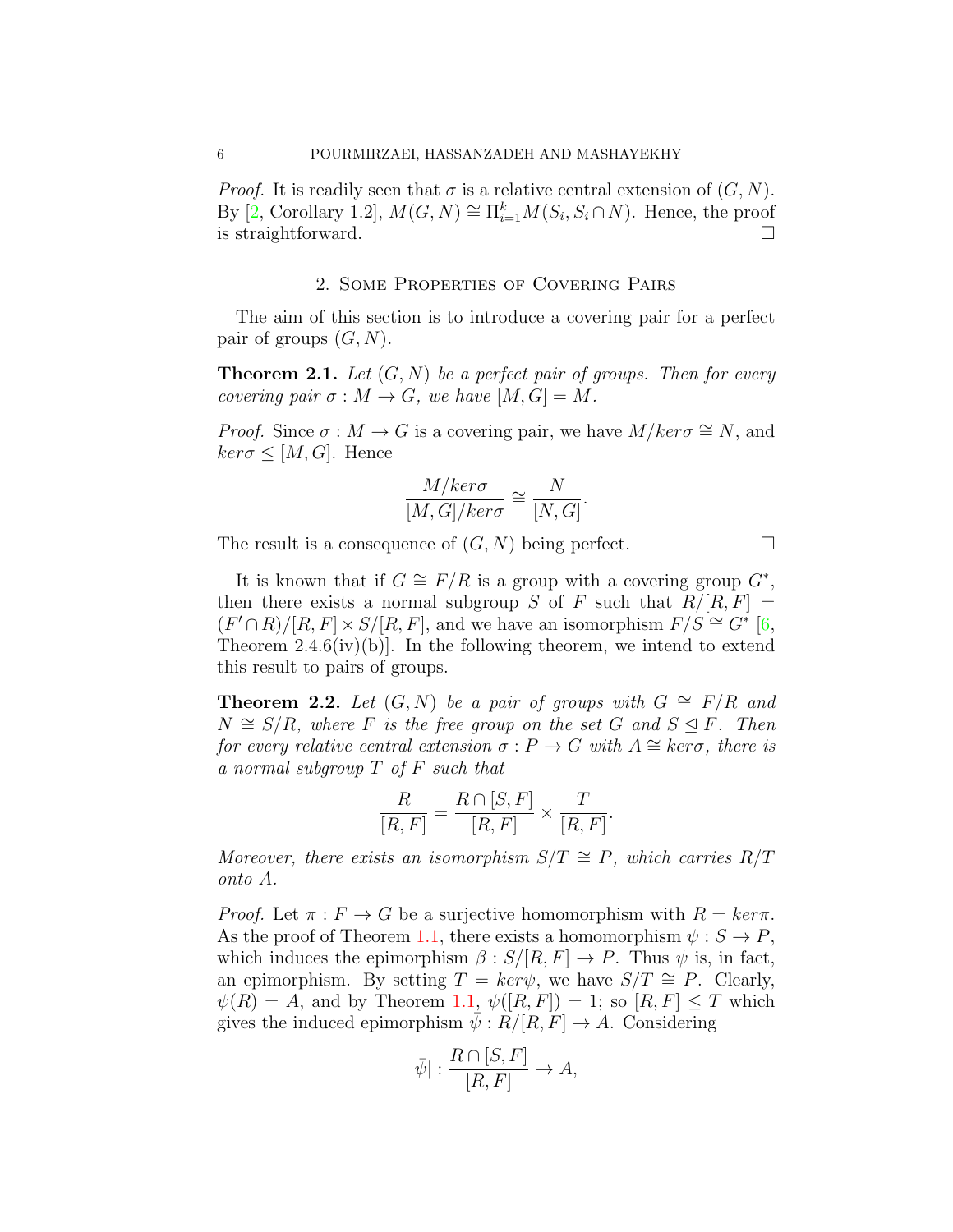*Proof.* It is readily seen that  $\sigma$  is a relative central extension of  $(G, N)$ . By [[2,](#page-12-1) Corollary 1.2],  $M(G, N) \cong \prod_{i=1}^{k} M(S_i, S_i \cap N)$ . Hence, the proof is straightforward. □

# 2. Some Properties of Covering Pairs

The aim of this section is to introduce a covering pair for a perfect pair of groups (*G, N*).

<span id="page-5-0"></span>**Theorem 2.1.** *Let* (*G, N*) *be a perfect pair of groups. Then for every covering pair*  $\sigma : M \to G$ *, we have*  $[M, G] = M$ *.* 

*Proof.* Since  $\sigma : M \to G$  is a covering pair, we have  $M/ker \sigma \cong N$ , and  $ker \sigma \leq [M, G]$ . Hence

$$
\frac{M/ker\sigma}{[M,G]/ker\sigma} \cong \frac{N}{[N,G]}.
$$

The result is a consequence of  $(G, N)$  being perfect.  $\Box$ 

It is known that if  $G \cong F/R$  is a group with a covering group  $G^*$ , then there exists a normal subgroup *S* of *F* such that  $R/[R, F] =$  $(F' \cap R)/[R, F] \times S/[R, F]$ , and we have an isomorphism  $F/S \cong G^*$  [\[6,](#page-12-4) Theorem  $2.4.6(iv)(b)$ . In the following theorem, we intend to extend this result to pairs of groups.

<span id="page-5-1"></span>**Theorem 2.2.** *Let*  $(G, N)$  *be a pair of groups with*  $G \cong F/R$  *and N*  $\cong$  *S*/*R,* where *F is the free group on the set G* and *S*  $\trianglelefteq$  *F. Then for every relative central extension*  $\sigma$  :  $P \rightarrow G$  *with*  $A \cong \text{ker}\sigma$ , there is *a normal subgroup T of F such that*

$$
\frac{R}{[R,F]} = \frac{R \cap [S,F]}{[R,F]} \times \frac{T}{[R,F]}.
$$

*Moreover, there exists an isomorphism*  $S/T \cong P$ *, which carries*  $R/T$ *onto A.*

*Proof.* Let  $\pi : F \to G$  be a surjective homomorphism with  $R = ker\pi$ . As the proof of Theorem [1.1](#page-3-0), there exists a homomorphism  $\psi : S \to P$ , which induces the epimorphism  $\beta : S/[R, F] \to P$ . Thus  $\psi$  is, in fact, an epimorphism. By setting  $T = \text{ker}\psi$ , we have  $S/T \cong P$ . Clearly,  $\psi(R) = A$ , and by Theorem [1.1,](#page-3-0)  $\psi([R, F]) = 1$ ; so  $[R, F] \leq T$  which gives the induced epimorphism  $\psi : R/[R, F] \to A$ . Considering

$$
\bar{\psi}]: \frac{R \cap [S, F]}{[R, F]} \to A,
$$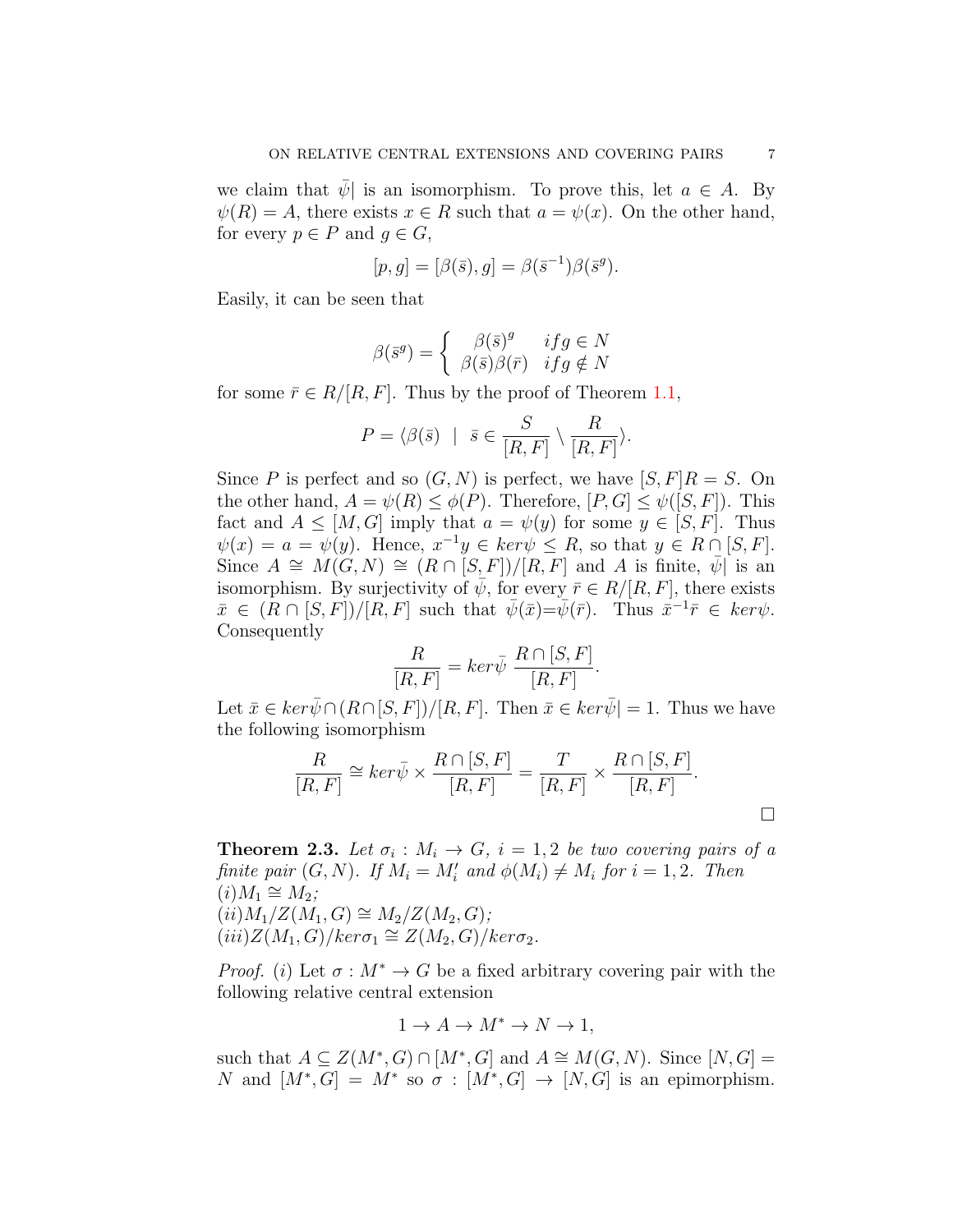we claim that  $\bar{\psi}$  is an isomorphism. To prove this, let  $a \in A$ . By  $\psi(R) = A$ , there exists  $x \in R$  such that  $a = \psi(x)$ . On the other hand, for every  $p \in P$  and  $g \in G$ ,

$$
[p, g] = [\beta(\bar{s}), g] = \beta(\bar{s}^{-1})\beta(\bar{s}^g).
$$

Easily, it can be seen that

$$
\beta(\bar{s}^g) = \begin{cases} \beta(\bar{s})^g & if g \in N \\ \beta(\bar{s})\beta(\bar{r}) & if g \notin N \end{cases}
$$

for some  $\bar{r} \in R/[R, F]$ . Thus by the proof of Theorem [1.1,](#page-3-0)

$$
P = \langle \beta(\bar{s}) \mid \bar{s} \in \frac{S}{[R, F]} \setminus \frac{R}{[R, F]} \rangle.
$$

Since *P* is perfect and so  $(G, N)$  is perfect, we have  $[S, F]R = S$ . On the other hand,  $A = \psi(R) \leq \phi(P)$ . Therefore,  $[P, G] \leq \psi([S, F])$ . This fact and  $A \leq [M, G]$  imply that  $a = \psi(y)$  for some  $y \in [S, F]$ . Thus  $\psi(x) = a = \psi(y)$ . Hence,  $x^{-1}y \in \text{ker}\psi \leq R$ , so that  $y \in R \cap [S, F]$ . Since  $A \cong M(G, N) \cong (R \cap [S, F])/[R, F]$  and *A* is finite,  $\overline{\psi}$  is an isomorphism. By surjectivity of  $\bar{\psi}$ , for every  $\bar{r} \in R/[R, F]$ , there exists  $\bar{x} \in (R \cap [S, F]) / [R, F]$  such that  $\bar{\psi}(\bar{x}) = \bar{\psi}(\bar{r})$ . Thus  $\bar{x}^{-1} \bar{r} \in \ker \psi$ . Consequently

$$
\frac{R}{[R,F]} = \ker \bar{\psi} \ \frac{R \cap [S,F]}{[R,F]}.
$$

Let  $\bar{x} \in \ker \bar{\psi} \cap (R \cap [S, F]) / [R, F]$ . Then  $\bar{x} \in \ker \bar{\psi}$  = 1. Thus we have the following isomorphism

$$
\frac{R}{[R,F]} \cong \ker \bar{\psi} \times \frac{R \cap [S,F]}{[R,F]} = \frac{T}{[R,F]} \times \frac{R \cap [S,F]}{[R,F]}.
$$

**Theorem 2.3.** Let  $\sigma_i : M_i \to G$ ,  $i = 1, 2$  be two covering pairs of a *finite pair*  $(G, N)$ *. If*  $M_i = M'_i$  *and*  $\phi(M_i) \neq M_i$  *for*  $i = 1, 2$ *. Then*  $(i)$ *M*<sub>1</sub>  $\cong$  *M*<sub>2</sub>*;*  $(ii)M_1/Z(M_1, G) \cong M_2/Z(M_2, G);$  $(iii)Z(M_1, G)/ker\sigma_1 \cong Z(M_2, G)/ker\sigma_2.$ 

*Proof.* (*i*) Let  $\sigma : M^* \to G$  be a fixed arbitrary covering pair with the following relative central extension

$$
1 \to A \to M^* \to N \to 1,
$$

such that  $A \subseteq Z(M^*, G) \cap [M^*, G]$  and  $A \cong M(G, N)$ . Since  $[N, G] =$ *N* and  $[M^*, G] = M^*$  so  $\sigma : [M^*, G] \to [N, G]$  is an epimorphism.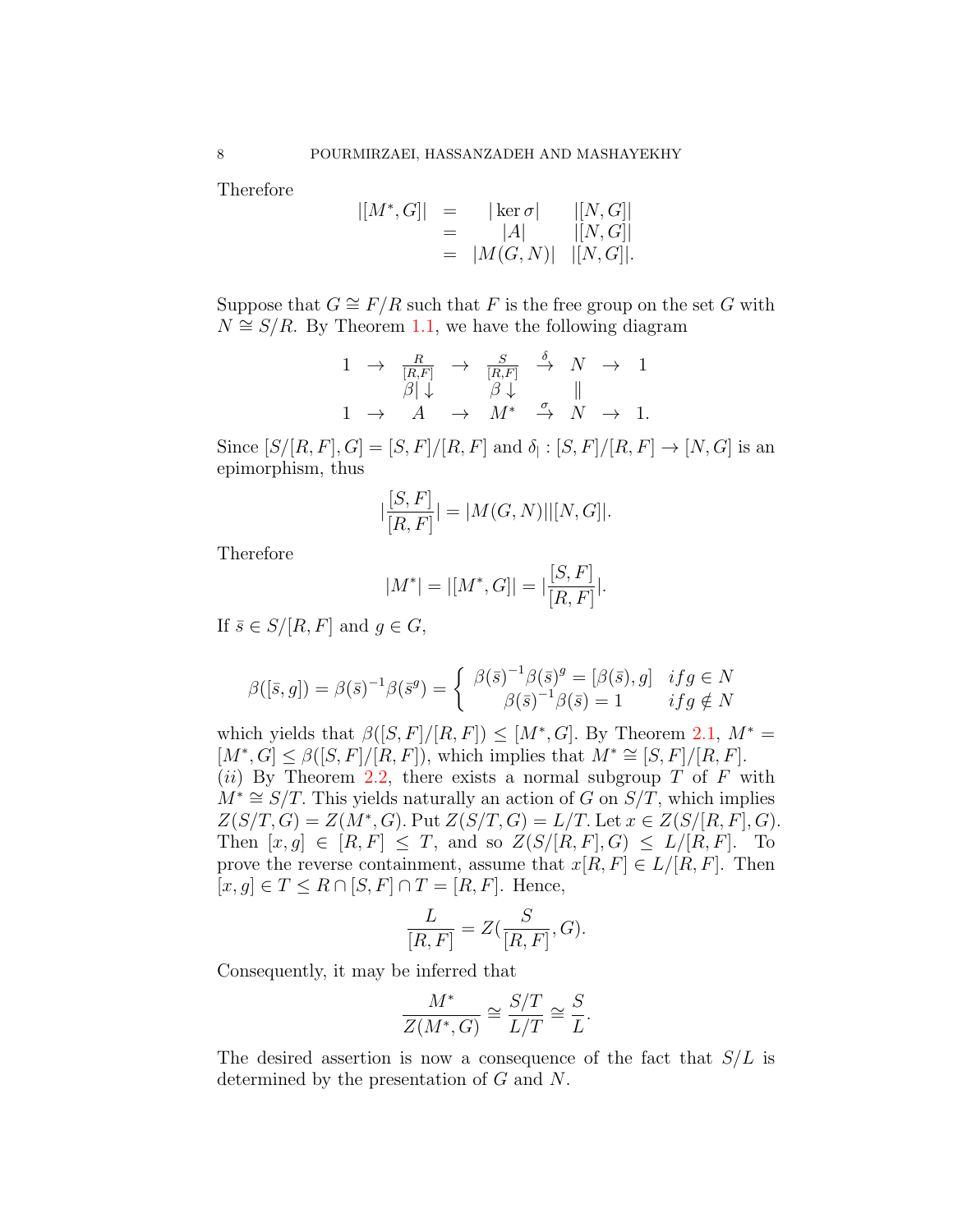Therefore

$$
| [M^*, G] | = | \ker \sigma | | [N, G] |
$$
  
= |A| | [N, G] |  
= |M(G, N)| | [N, G] |.

Suppose that  $G \cong F/R$  such that *F* is the free group on the set *G* with  $N \cong S/R$ . By Theorem [1.1](#page-3-0), we have the following diagram

$$
\begin{array}{ccccccc}\n1 & \rightarrow & \frac{R}{[R,F]} & \rightarrow & \frac{S}{[R,F]} & \stackrel{\delta}{\rightarrow} & N & \rightarrow & 1 \\
\beta & \downarrow & & \beta & \downarrow & & \parallel \\
1 & \rightarrow & A & \rightarrow & M^* & \stackrel{\sigma}{\rightarrow} & N & \rightarrow & 1.\n\end{array}
$$

Since  $[S/[R, F], G] = [S, F]/[R, F]$  and  $\delta_{\vert} : [S, F]/[R, F] \to [N, G]$  is an epimorphism, thus

$$
|\frac{[S, F]}{[R, F]}| = |M(G, N)| |[N, G]|.
$$

Therefore

$$
|M^*| = |[M^*, G]| = |\frac{[S, F]}{[R, F]}|.
$$

If  $\bar{s} \in S/[R, F]$  and  $g \in G$ ,

$$
\beta([\bar{s}, g]) = \beta(\bar{s})^{-1}\beta(\bar{s}^g) = \begin{cases} \beta(\bar{s})^{-1}\beta(\bar{s})^g = [\beta(\bar{s}), g] & if g \in N \\ \beta(\bar{s})^{-1}\beta(\bar{s}) = 1 & if g \notin N \end{cases}
$$

which yields that  $\beta([S, F]/[R, F]) \leq [M^*, G]$ . By Theorem [2.1,](#page-5-0)  $M^* =$  $[M^*, G] \leq \beta([S, F]/[R, F])$ , which implies that  $M^* \cong [S, F]/[R, F]$ . (*ii*) By Theorem [2.2](#page-5-1), there exists a normal subgroup *T* of *F* with  $M^* \cong S/T$ . This yields naturally an action of *G* on  $S/T$ , which implies  $Z(S/T, G) = Z(M^*, G)$ . Put  $Z(S/T, G) = L/T$ . Let  $x \in Z(S/[R, F], G)$ . Then  $[x, g]$  ∈  $[R, F]$  ≤ *T*, and so  $Z(S/[R, F], G)$  ≤  $L/[R, F]$ . To prove the reverse containment, assume that  $x[R, F] \in L/[R, F]$ . Then  $[x, g]$  ∈  $T$  ≤  $R \cap [S, F] \cap T = [R, F]$ . Hence,

$$
\frac{L}{[R,F]} = Z(\frac{S}{[R,F]},G).
$$

Consequently, it may be inferred that

$$
\frac{M^*}{Z(M^*, G)} \cong \frac{S/T}{L/T} \cong \frac{S}{L}.
$$

The desired assertion is now a consequence of the fact that *S/L* is determined by the presentation of *G* and *N*.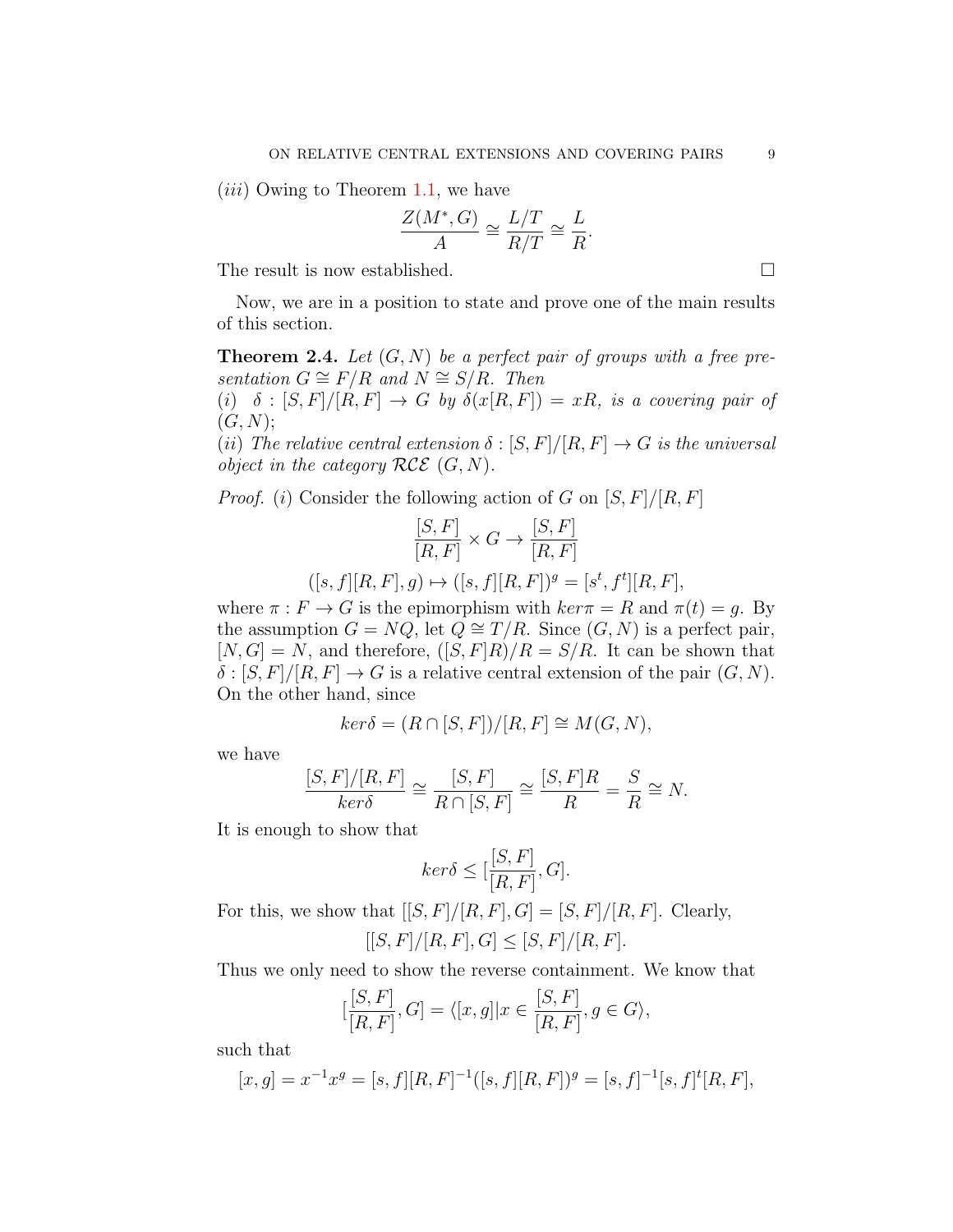(*iii*) Owing to Theorem [1.1](#page-3-0), we have

$$
\frac{Z(M^*,G)}{A} \cong \frac{L/T}{R/T} \cong \frac{L}{R}.
$$

The result is now established. □

Now, we are in a position to state and prove one of the main results of this section.

**Theorem 2.4.** *Let* (*G, N*) *be a perfect pair of groups with a free pre* $sentation G \cong F/R$  *and*  $N \cong S/R$ *. Then* 

(*i*)  $\delta$  :  $[S, F]/[R, F] \rightarrow G$  by  $\delta(x[R, F]) = xR$ , is a covering pair of  $(G, N);$ 

(*ii*) *The relative central extension*  $\delta$  :  $[S, F]/[R, F] \rightarrow G$  *is the universal object in the category*  $RCE$   $(G, N)$ *.* 

*Proof.* (*i*) Consider the following action of *G* on [*S, F*]*/*[*R, F*]

$$
\frac{[S,F]}{[R,F]}\times G\rightarrow \frac{[S,F]}{[R,F]}
$$
  

$$
([s,f][R,F],g)\mapsto ([s,f][R,F])^g=[s^t,f^t][R,F],
$$

where  $\pi : F \to G$  is the epimorphism with  $ker \pi = R$  and  $\pi(t) = g$ . By the assumption  $G = NQ$ , let  $Q \cong T/R$ . Since  $(G, N)$  is a perfect pair,  $[N, G] = N$ , and therefore,  $([S, F]R)/R = S/R$ . It can be shown that  $\delta$  :  $[S, F]/[R, F] \rightarrow G$  is a relative central extension of the pair  $(G, N)$ . On the other hand, since

$$
ker \delta = (R \cap [S, F])/[R, F] \cong M(G, N),
$$

we have

$$
\frac{[S,F]/[R,F]}{ker \delta} \cong \frac{[S,F]}{R \cap [S,F]} \cong \frac{[S,F]R}{R} = \frac{S}{R} \cong N.
$$

It is enough to show that

$$
ker \delta \leq [\frac{[S, F]}{[R, F]}, G].
$$

For this, we show that  $[[S, F]/[R, F], G] = [S, F]/[R, F]$ . Clearly,  $[|S, F]/[R, F], G] \leq [S, F]/[R, F].$ 

Thus we only need to show the reverse containment. We know that

$$
[\frac{[S,F]}{[R,F]},G] = \langle [x,g] | x \in \frac{[S,F]}{[R,F]}, g \in G \rangle,
$$

such that

$$
[x,g] = x^{-1}x^g = [s,f][R,F]^{-1}([s,f][R,F])^g = [s,f]^{-1}[s,f]^t[R,F],
$$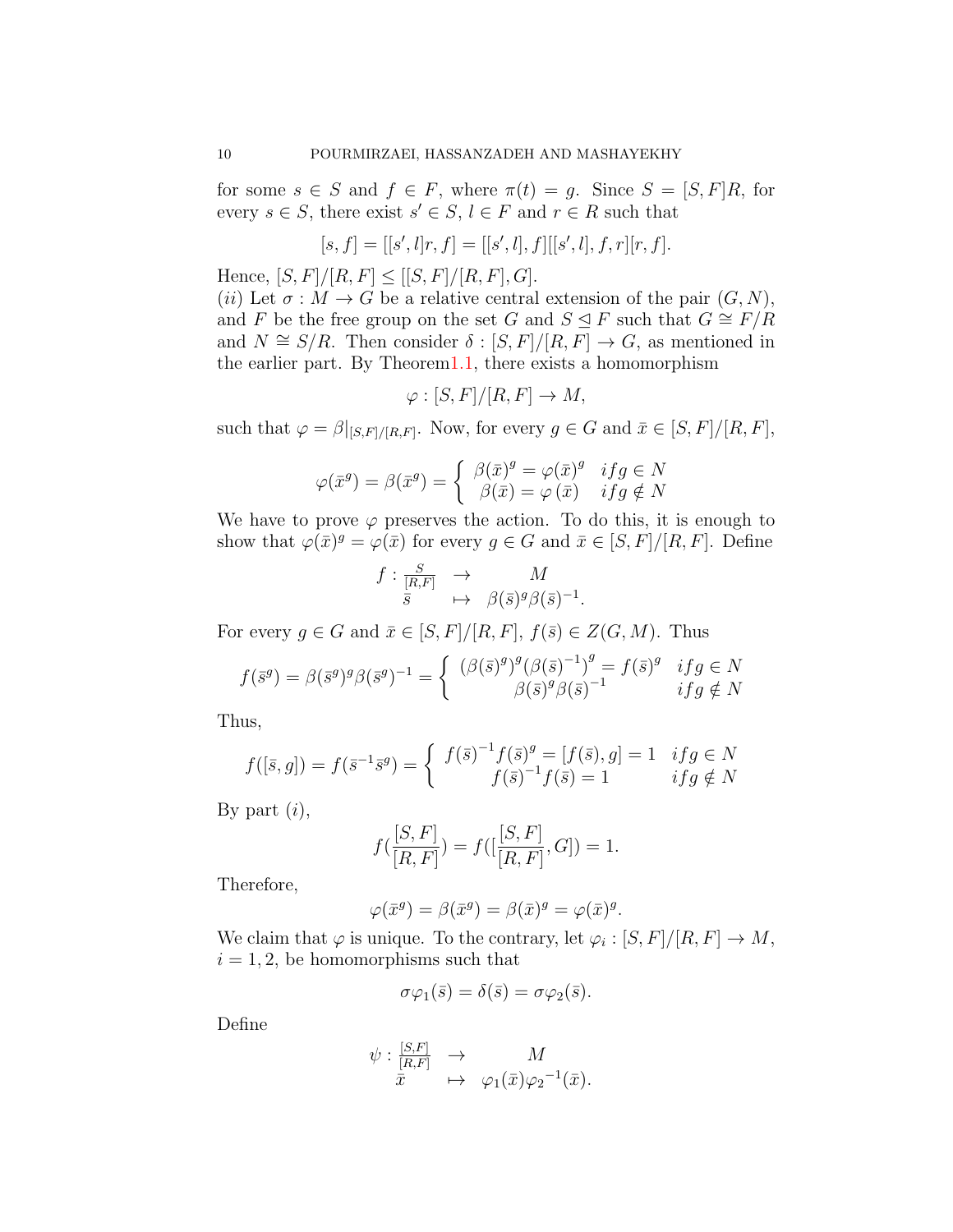for some  $s \in S$  and  $f \in F$ , where  $\pi(t) = g$ . Since  $S = [S, F]R$ , for every  $s \in S$ , there exist  $s' \in S$ ,  $l \in F$  and  $r \in R$  such that

$$
[s, f] = [[s', l]r, f] = [[s', l], f][[s', l], f, r][r, f].
$$

Hence,  $[S, F]/[R, F] \leq [S, F]/[R, F], G$ .

(*ii*) Let  $\sigma : M \to G$  be a relative central extension of the pair  $(G, N)$ , and *F* be the free group on the set *G* and  $S \subseteq F$  such that  $G \cong F/R$ and  $N \cong S/R$ . Then consider  $\delta : [S, F]/[R, F] \rightarrow G$ , as mentioned in the earlier part. By Theore[m1.1](#page-3-0), there exists a homomorphism

$$
\varphi : [S, F]/[R, F] \to M,
$$

such that  $\varphi = \beta|_{[S,F]/[R,F]}$ . Now, for every  $g \in G$  and  $\bar{x} \in [S,F]/[R,F]$ ,

$$
\varphi(\bar{x}^g) = \beta(\bar{x}^g) = \begin{cases} \beta(\bar{x})^g = \varphi(\bar{x})^g & if g \in N \\ \beta(\bar{x}) = \varphi(\bar{x}) & if g \notin N \end{cases}
$$

We have to prove  $\varphi$  preserves the action. To do this, it is enough to show that  $\varphi(\bar{x})^g = \varphi(\bar{x})$  for every  $g \in G$  and  $\bar{x} \in [S, F]/[R, F]$ . Define

$$
f: \frac{S}{[R,F]} \rightarrow M
$$
  
 $\overline{s} \mapsto \beta(\overline{s})^g \beta(\overline{s})^{-1}.$ 

For every  $g \in G$  and  $\bar{x} \in [S, F]/[R, F]$ ,  $f(\bar{s}) \in Z(G, M)$ . Thus

$$
f(\bar{s}^g) = \beta(\bar{s}^g)^g \beta(\bar{s}^g)^{-1} = \begin{cases} (\beta(\bar{s})^g)^g (\beta(\bar{s})^{-1})^g = f(\bar{s})^g & if g \in N \\ \beta(\bar{s})^g \beta(\bar{s})^{-1} & if g \notin N \end{cases}
$$

Thus,

$$
f([\bar{s}, g]) = f(\bar{s}^{-1}\bar{s}^g) = \begin{cases} f(\bar{s})^{-1}f(\bar{s})^g = [f(\bar{s}), g] = 1 & if g \in N \\ f(\bar{s})^{-1}f(\bar{s}) = 1 & if g \notin N \end{cases}
$$

By part (*i*),

$$
f(\frac{[S,F]}{[R,F]}) = f([\frac{[S,F]}{[R,F]},G]) = 1.
$$

Therefore,

$$
\varphi(\bar{x}^g) = \beta(\bar{x}^g) = \beta(\bar{x})^g = \varphi(\bar{x})^g.
$$

We claim that  $\varphi$  is unique. To the contrary, let  $\varphi_i : [S, F]/[R, F] \to M$ ,  $i = 1, 2$ , be homomorphisms such that

$$
\sigma\varphi_1(\bar{s}) = \delta(\bar{s}) = \sigma\varphi_2(\bar{s}).
$$

Define

$$
\psi: \frac{[S,F]}{[R,F]} \to M
$$
  

$$
\bar{x} \mapsto \varphi_1(\bar{x})\varphi_2^{-1}(\bar{x}).
$$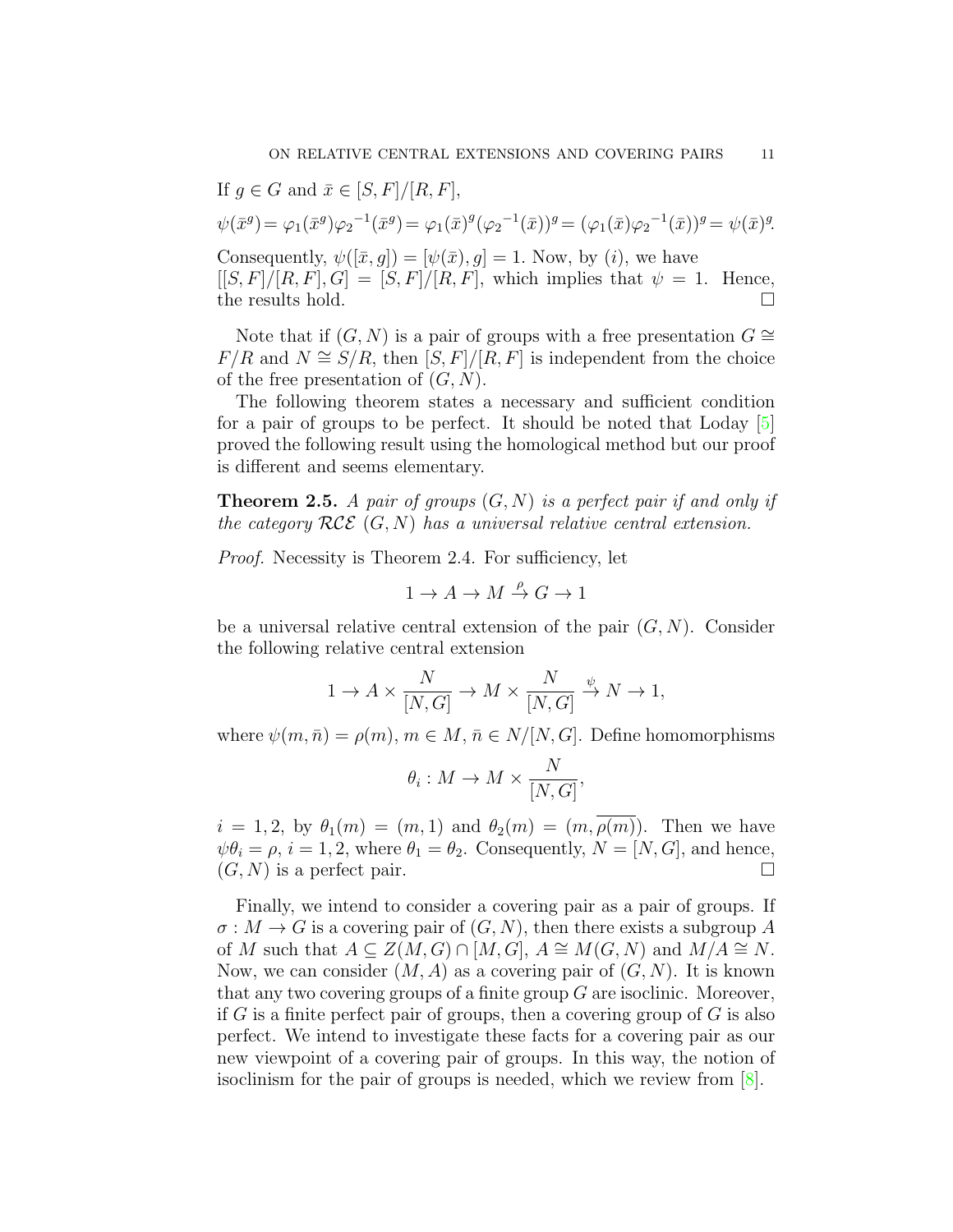If  $q \in G$  and  $\bar{x} \in [S, F]/[R, F]$ ,  $\psi(\bar{x}^g) = \varphi_1(\bar{x}^g)\varphi_2^{-1}(\bar{x}^g) = \varphi_1(\bar{x})^g(\varphi_2^{-1}(\bar{x}))^g = (\varphi_1(\bar{x})\varphi_2^{-1}(\bar{x}))^g = \psi(\bar{x})^g.$ Consequently,  $\psi([\bar{x}, q]) = [\psi(\bar{x}), q] = 1$ . Now, by (*i*), we have

 $[[S, F]/[R, F], G] = [S, F]/[R, F]$ , which implies that  $\psi = 1$ . Hence, the results hold. □

Note that if  $(G, N)$  is a pair of groups with a free presentation  $G \cong$ *F/R* and *N*  $\cong$  *S/R*, then [*S, F*]/[*R, F*] is independent from the choice of the free presentation of (*G, N*).

The following theorem states a necessary and sufficient condition for a pair of groups to be perfect. It should be noted that Loday [[5\]](#page-12-3) proved the following result using the homological method but our proof is different and seems elementary.

**Theorem 2.5.** *A pair of groups* (*G, N*) *is a perfect pair if and only if the category RCE* (*G, N*) *has a universal relative central extension.*

*Proof.* Necessity is Theorem 2.4. For sufficiency, let

$$
1\to A\to M\stackrel{\rho}{\to} G\to 1
$$

be a universal relative central extension of the pair  $(G, N)$ . Consider the following relative central extension

$$
1 \to A \times \frac{N}{[N, G]} \to M \times \frac{N}{[N, G]} \xrightarrow{\psi} N \to 1,
$$

where  $\psi(m,\bar{n}) = \rho(m), m \in M, \bar{n} \in N/[N, G]$ . Define homomorphisms

$$
\theta_i: M \to M \times \frac{N}{[N, G]},
$$

*i* = 1, 2, by  $\theta_1(m) = (m, 1)$  and  $\theta_2(m) = (m, \overline{\rho(m)})$ . Then we have  $\psi \theta_i = \rho, i = 1, 2$ , where  $\theta_1 = \theta_2$ . Consequently,  $N = [N, G]$ , and hence,  $(G, N)$  is a perfect pair.

Finally, we intend to consider a covering pair as a pair of groups. If  $\sigma: M \to G$  is a covering pair of  $(G, N)$ , then there exists a subgroup A of *M* such that  $A \subseteq Z(M, G) \cap [M, G], A \cong M(G, N)$  and  $M/A \cong N$ . Now, we can consider  $(M, A)$  as a covering pair of  $(G, N)$ . It is known that any two covering groups of a finite group *G* are isoclinic. Moreover, if *G* is a finite perfect pair of groups, then a covering group of *G* is also perfect. We intend to investigate these facts for a covering pair as our new viewpoint of a covering pair of groups. In this way, the notion of isoclinism for the pair of groups is needed, which we review from [[8\]](#page-12-5).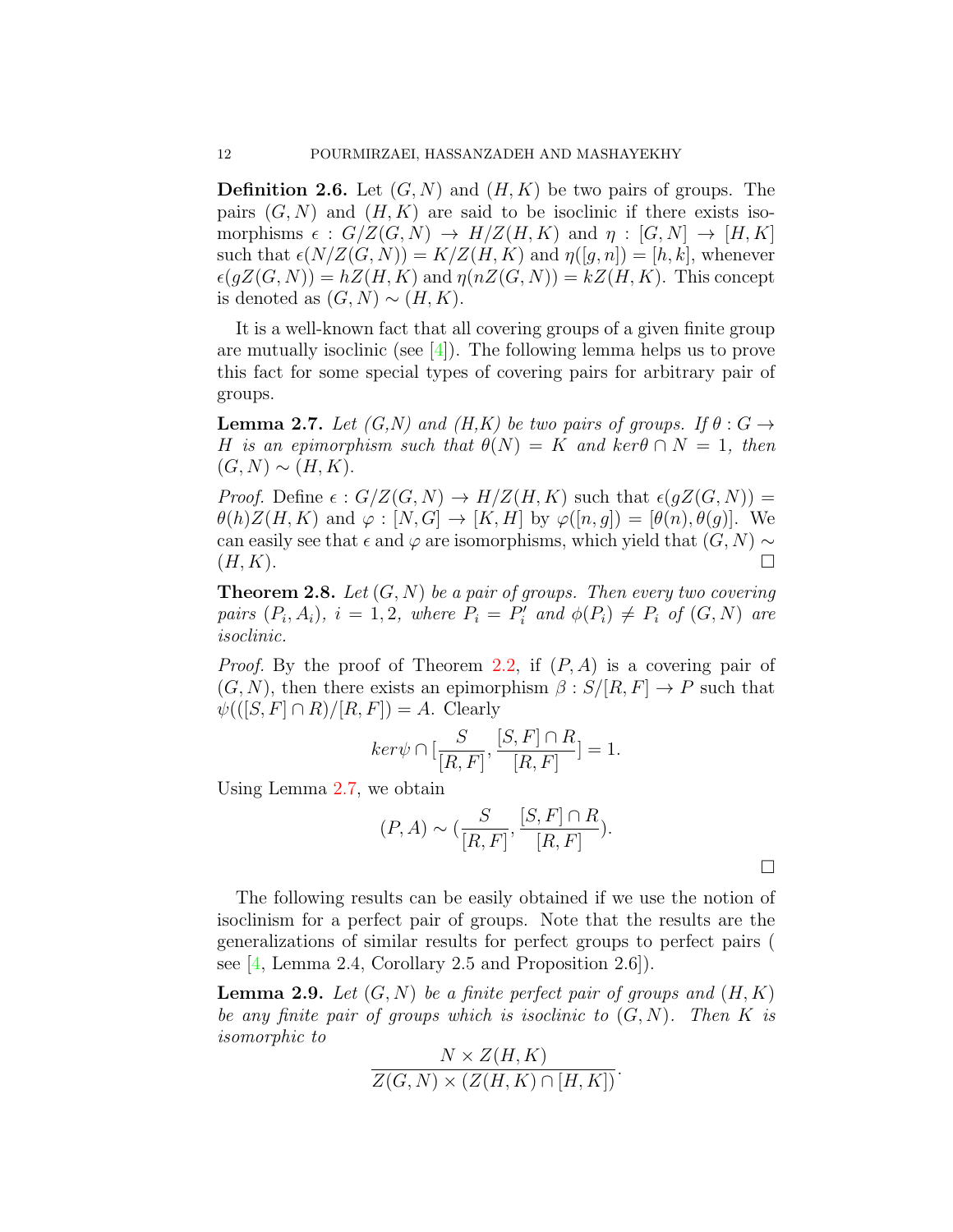**Definition 2.6.** Let (*G, N*) and (*H, K*) be two pairs of groups. The pairs  $(G, N)$  and  $(H, K)$  are said to be isoclinic if there exists isomorphisms  $\epsilon$  :  $G/Z(G, N) \rightarrow H/Z(H, K)$  and  $\eta$  :  $[G, N] \rightarrow [H, K]$ such that  $\epsilon(N/Z(G, N)) = K/Z(H, K)$  and  $\eta([g, n]) = [h, k]$ , whenever  $\epsilon(qZ(G, N)) = hZ(H, K)$  and  $\eta(nZ(G, N)) = kZ(H, K)$ . This concept is denoted as  $(G, N) \sim (H, K)$ .

It is a well-known fact that all covering groups of a given finite group are mutually isoclinic (see  $[4]$  $[4]$ ). The following lemma helps us to prove this fact for some special types of covering pairs for arbitrary pair of groups.

<span id="page-11-0"></span>**Lemma 2.7.** *Let*  $(G, N)$  *and*  $(H, K)$  *be two pairs of groups. If*  $\theta : G \rightarrow$ *H is an epimorphism such that*  $\theta(N) = K$  *and*  $\text{ker } \theta \cap N = 1$ , then  $(G, N) ∼ (H, K)$ .

*Proof.* Define  $\epsilon$  :  $G/Z(G, N) \rightarrow H/Z(H, K)$  such that  $\epsilon(gZ(G, N)) =$  $\theta(h)Z(H,K)$  and  $\varphi : [N, G] \to [K, H]$  by  $\varphi([n, g]) = [\theta(n), \theta(g)]$ . We can easily see that  $\epsilon$  and  $\varphi$  are isomorphisms, which yield that  $(G, N) \sim$  $(H, K)$ .

**Theorem 2.8.** *Let* (*G, N*) *be a pair of groups. Then every two covering* pairs  $(P_i, A_i)$ ,  $i = 1, 2$ , where  $P_i = P'_i$  and  $\phi(P_i) \neq P_i$  of  $(G, N)$  are *isoclinic.*

*Proof.* By the proof of Theorem [2.2](#page-5-1), if (*P, A*) is a covering pair of  $(G, N)$ , then there exists an epimorphism  $\beta : S/[R, F] \to P$  such that  $\psi((S, F] \cap R)/[R, F]) = A$ . Clearly

$$
ker \psi \cap [\frac{S}{[R,F]}, \frac{[S,F] \cap R}{[R,F]}] = 1.
$$

Using Lemma [2.7](#page-11-0), we obtain

$$
(P, A) \sim (\frac{S}{[R, F]}, \frac{[S, F] \cap R}{[R, F]}).
$$

□

The following results can be easily obtained if we use the notion of isoclinism for a perfect pair of groups. Note that the results are the generalizations of similar results for perfect groups to perfect pairs ( see [[4,](#page-12-6) Lemma 2.4, Corollary 2.5 and Proposition 2.6]).

**Lemma 2.9.** Let  $(G, N)$  be a finite perfect pair of groups and  $(H, K)$ *be any finite pair of groups which is isoclinic to* (*G, N*)*. Then K is isomorphic to*  $\overline{M}$   $\overline{Z(TU)}$ 

$$
\frac{N \times Z(H, K)}{Z(G, N) \times (Z(H, K) \cap [H, K])}.
$$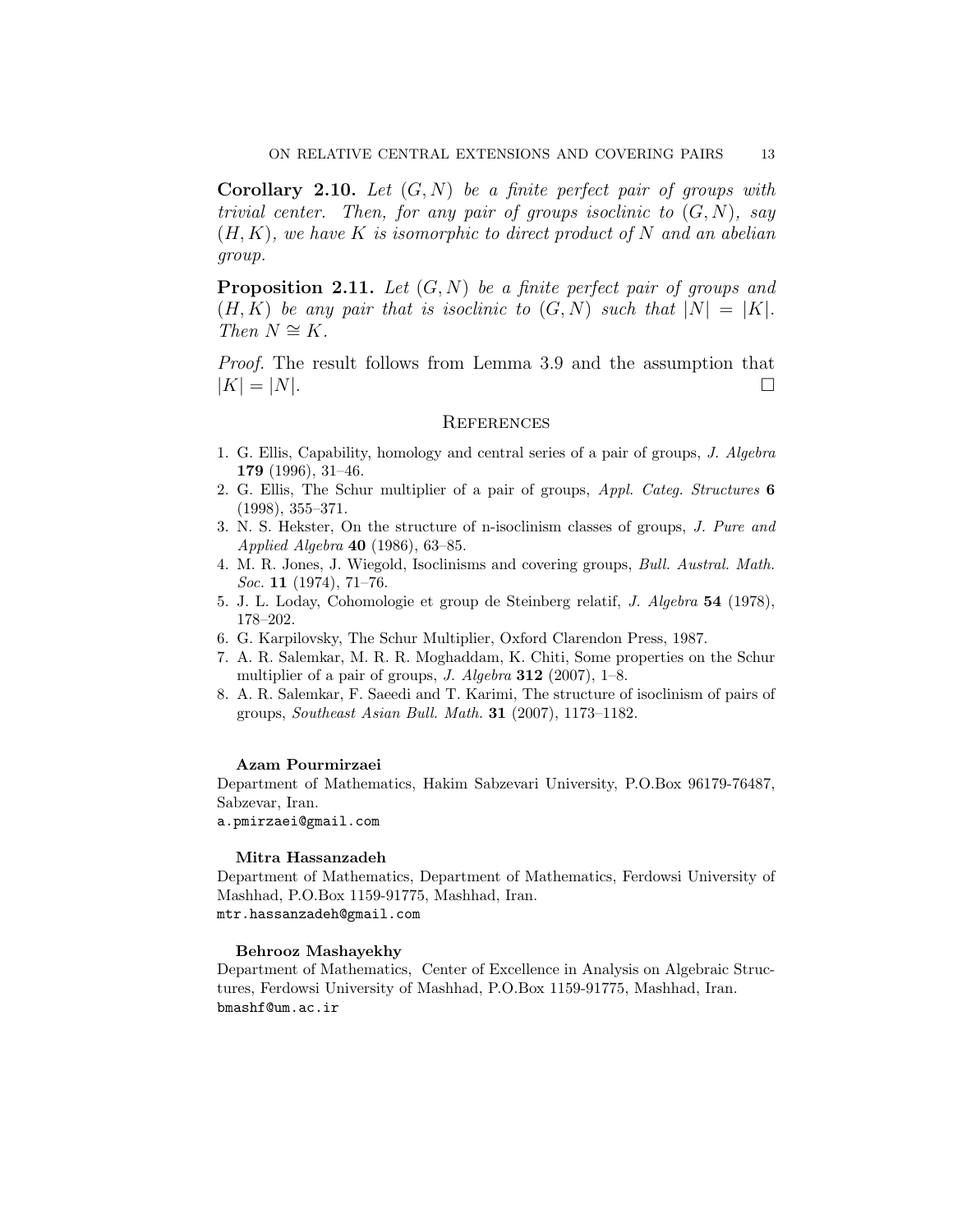**Corollary 2.10.** *Let* (*G, N*) *be a finite perfect pair of groups with trivial center. Then, for any pair of groups isoclinic to* (*G, N*)*, say* (*H, K*)*, we have K is isomorphic to direct product of N and an abelian group.*

**Proposition 2.11.** *Let* (*G, N*) *be a finite perfect pair of groups and*  $(H, K)$  be any pair that is isoclinic to  $(G, N)$  such that  $|N| = |K|$ .  $Then N \cong K.$ 

*Proof.* The result follows from Lemma 3.9 and the assumption that  $|K| = |N|$ .

#### **REFERENCES**

- <span id="page-12-0"></span>1. G. Ellis, Capability, homology and central series of a pair of groups, *J. Algebra* **179** (1996), 31–46.
- <span id="page-12-1"></span>2. G. Ellis, The Schur multiplier of a pair of groups, *Appl. Categ. Structures* **6** (1998), 355–371.
- 3. N. S. Hekster, On the structure of n-isoclinism classes of groups, *J. Pure and Applied Algebra* **40** (1986), 63–85.
- <span id="page-12-6"></span>4. M. R. Jones, J. Wiegold, Isoclinisms and covering groups, *Bull. Austral. Math. Soc.* **11** (1974), 71–76.
- <span id="page-12-3"></span>5. J. L. Loday, Cohomologie et group de Steinberg relatif, *J. Algebra* **54** (1978), 178–202.
- <span id="page-12-4"></span>6. G. Karpilovsky, The Schur Multiplier, Oxford Clarendon Press, 1987.
- <span id="page-12-2"></span>7. A. R. Salemkar, M. R. R. Moghaddam, K. Chiti, Some properties on the Schur multiplier of a pair of groups, *J. Algebra* **312** (2007), 1–8.
- <span id="page-12-5"></span>8. A. R. Salemkar, F. Saeedi and T. Karimi, The structure of isoclinism of pairs of groups, *Southeast Asian Bull. Math.* **31** (2007), 1173–1182.

#### **Azam Pourmirzaei**

Department of Mathematics, Hakim Sabzevari University, P.O.Box 96179-76487, Sabzevar, Iran.

a.pmirzaei@gmail.com

#### **Mitra Hassanzadeh**

Department of Mathematics, Department of Mathematics, Ferdowsi University of Mashhad, P.O.Box 1159-91775, Mashhad, Iran. mtr.hassanzadeh@gmail.com

#### **Behrooz Mashayekhy**

Department of Mathematics, Center of Excellence in Analysis on Algebraic Structures, Ferdowsi University of Mashhad, P.O.Box 1159-91775, Mashhad, Iran. bmashf@um.ac.ir